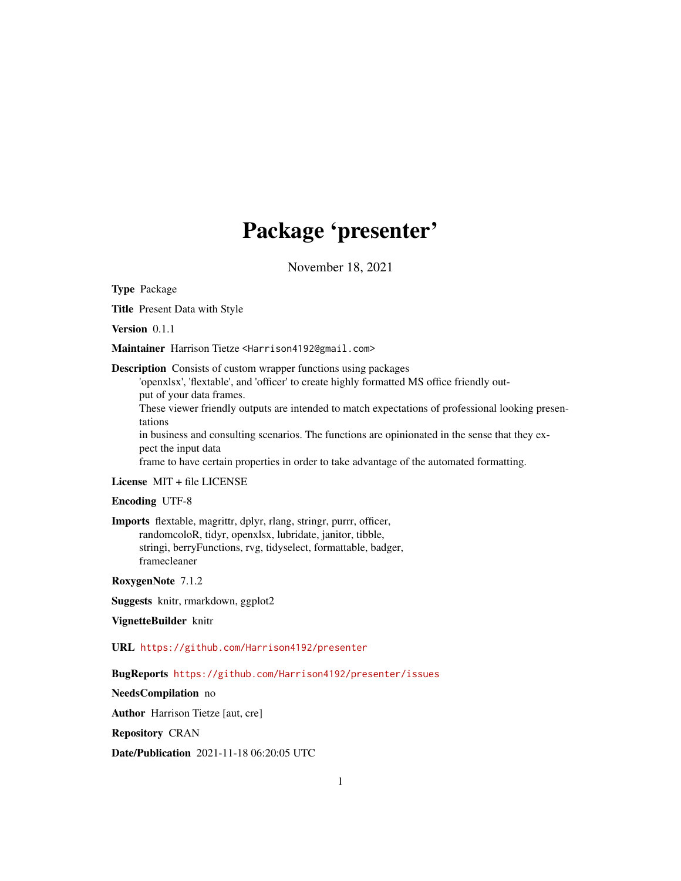# Package 'presenter'

November 18, 2021

Type Package

Title Present Data with Style

Version 0.1.1

Maintainer Harrison Tietze <Harrison4192@gmail.com>

Description Consists of custom wrapper functions using packages

'openxlsx', 'flextable', and 'officer' to create highly formatted MS office friendly output of your data frames.

These viewer friendly outputs are intended to match expectations of professional looking presentations

in business and consulting scenarios. The functions are opinionated in the sense that they expect the input data

frame to have certain properties in order to take advantage of the automated formatting.

License MIT + file LICENSE

#### Encoding UTF-8

Imports flextable, magrittr, dplyr, rlang, stringr, purrr, officer, randomcoloR, tidyr, openxlsx, lubridate, janitor, tibble, stringi, berryFunctions, rvg, tidyselect, formattable, badger, framecleaner

RoxygenNote 7.1.2

Suggests knitr, rmarkdown, ggplot2

VignetteBuilder knitr

URL <https://github.com/Harrison4192/presenter>

BugReports <https://github.com/Harrison4192/presenter/issues>

NeedsCompilation no

Author Harrison Tietze [aut, cre]

Repository CRAN

Date/Publication 2021-11-18 06:20:05 UTC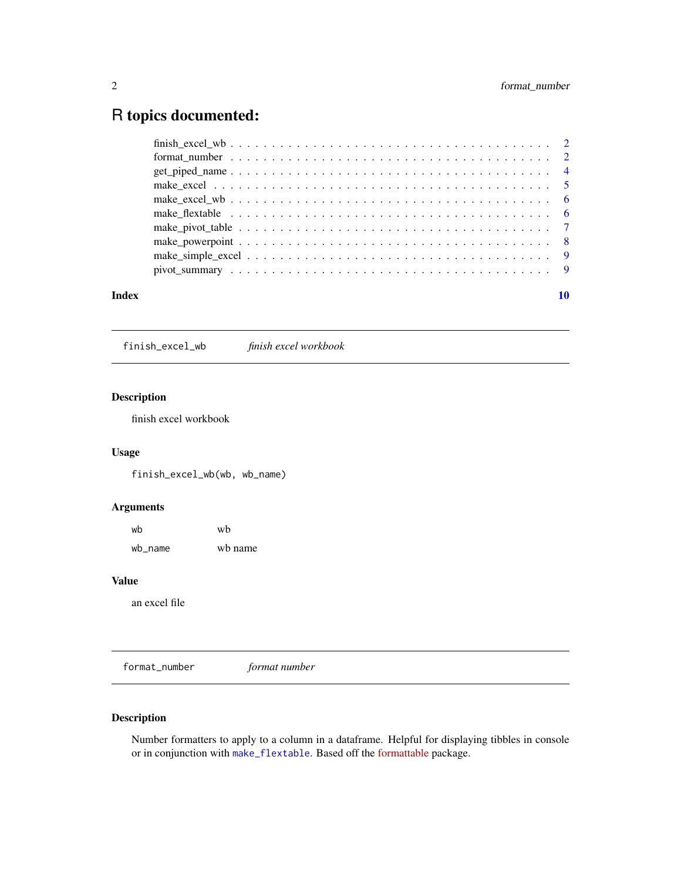## <span id="page-1-0"></span>R topics documented:

|       | make flextable $\ldots \ldots \ldots \ldots \ldots \ldots \ldots \ldots \ldots \ldots \ldots \ldots \ldots$ |  |
|-------|-------------------------------------------------------------------------------------------------------------|--|
|       |                                                                                                             |  |
|       |                                                                                                             |  |
|       |                                                                                                             |  |
|       |                                                                                                             |  |
|       |                                                                                                             |  |
| Index |                                                                                                             |  |

finish\_excel\_wb *finish excel workbook*

#### Description

finish excel workbook

#### Usage

finish\_excel\_wb(wb, wb\_name)

#### Arguments

| wb      | wh      |
|---------|---------|
| wb_name | wh name |

#### Value

an excel file

format\_number *format number*

#### Description

Number formatters to apply to a column in a dataframe. Helpful for displaying tibbles in console or in conjunction with [make\\_flextable](#page-5-1). Based off the [formattable](https://renkun-ken.github.io/formattable/) package.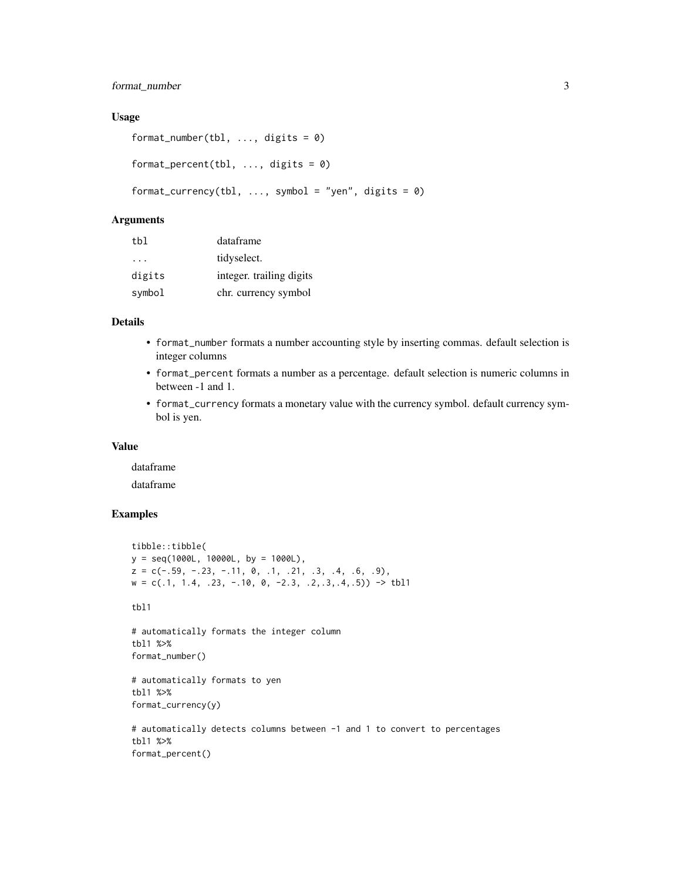#### format\_number 3

#### Usage

```
format_number(tbl, ..., digits = 0)
format_percent(tbl, ..., digits = 0)
format_currency(tbl, ..., symbol = "yen", digits = 0)
```
#### Arguments

| tbl      | dataframe                |
|----------|--------------------------|
| $\cdots$ | tidyselect.              |
| digits   | integer. trailing digits |
| symbol   | chr. currency symbol     |

#### Details

- format\_number formats a number accounting style by inserting commas. default selection is integer columns
- format\_percent formats a number as a percentage. default selection is numeric columns in between -1 and 1.
- format\_currency formats a monetary value with the currency symbol. default currency symbol is yen.

#### Value

dataframe

dataframe

#### Examples

```
tibble::tibble(
y = seq(1000L, 10000L, by = 1000L),
z = c(-.59, -.23, -.11, 0, .1, .21, .3, .4, .6, .9),w = c(.1, 1.4, .23, -.10, 0, -2.3, .2, .3, .4, .5)) \rightarrow \text{thl1}tbl1
# automatically formats the integer column
tbl1 %>%
format_number()
# automatically formats to yen
tbl1 %>%
format_currency(y)
# automatically detects columns between -1 and 1 to convert to percentages
tbl1 %>%
format_percent()
```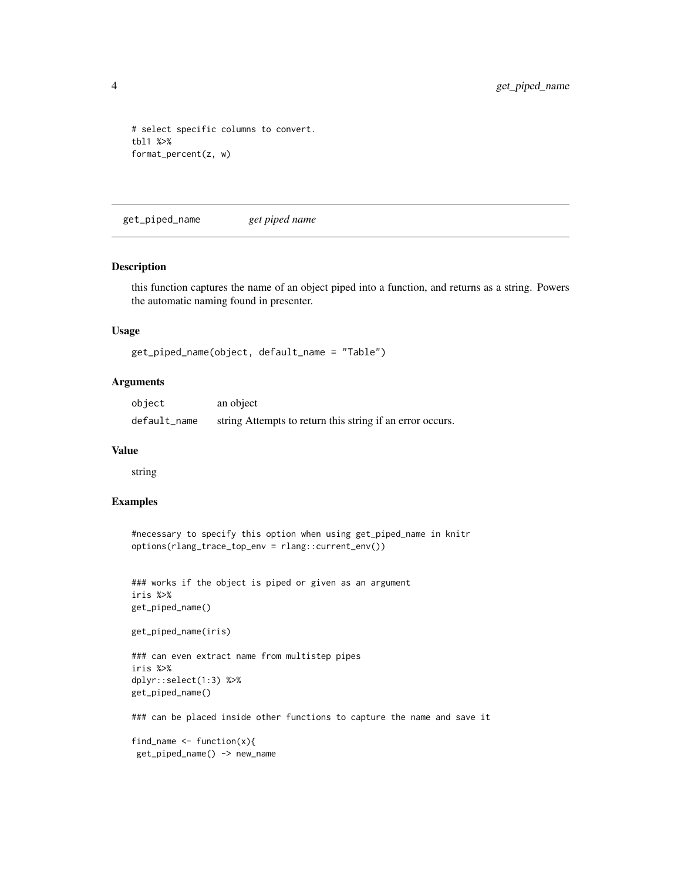```
# select specific columns to convert.
tbl1 %>%
format_percent(z, w)
```
get\_piped\_name *get piped name*

#### Description

this function captures the name of an object piped into a function, and returns as a string. Powers the automatic naming found in presenter.

#### Usage

```
get_piped_name(object, default_name = "Table")
```
#### Arguments

| object       | an object                                                 |
|--------------|-----------------------------------------------------------|
| default_name | string Attempts to return this string if an error occurs. |

#### Value

string

#### Examples

```
#necessary to specify this option when using get_piped_name in knitr
options(rlang_trace_top_env = rlang::current_env())
```

```
### works if the object is piped or given as an argument
iris %>%
get_piped_name()
```

```
get_piped_name(iris)
```

```
### can even extract name from multistep pipes
iris %>%
dplyr::select(1:3) %>%
get_piped_name()
```
### can be placed inside other functions to capture the name and save it

find\_name  $\leq$  function(x){ get\_piped\_name() -> new\_name

<span id="page-3-0"></span>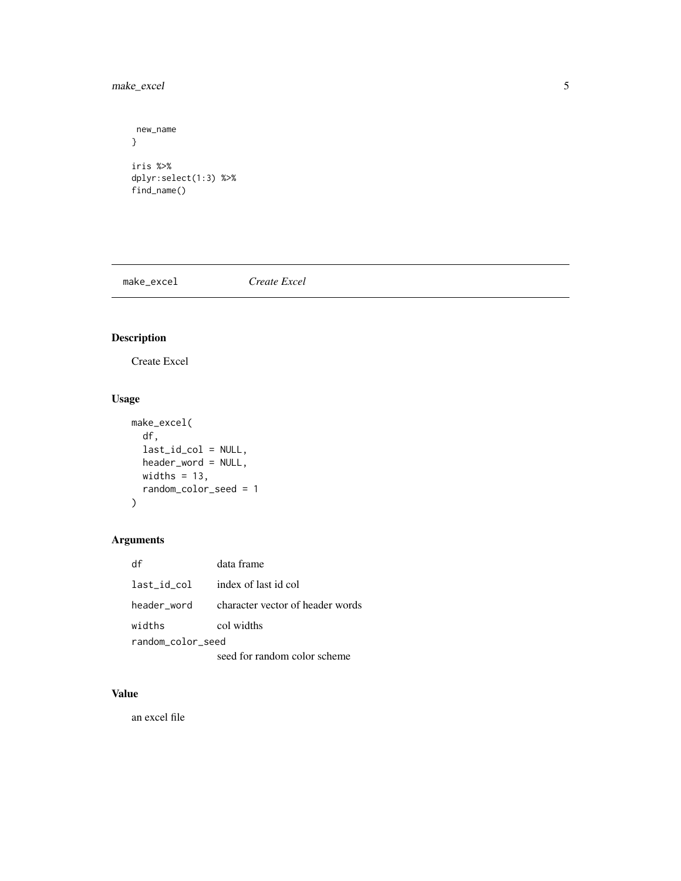#### <span id="page-4-0"></span>make\_excel 5

```
new_name
}
iris %>%
dplyr:select(1:3) %>%
find_name()
```
make\_excel *Create Excel*

### Description

Create Excel

#### Usage

```
make_excel(
 df,
  last_id_col = NULL,
 header_word = NULL,
 widths = 13,
 random_color_seed = 1
)
```
#### Arguments

| df                | data frame                       |  |
|-------------------|----------------------------------|--|
| last_id_col       | index of last id col             |  |
| header word       | character vector of header words |  |
| widths            | col widths                       |  |
| random color seed |                                  |  |
|                   | seed for random color scheme     |  |

#### Value

an excel file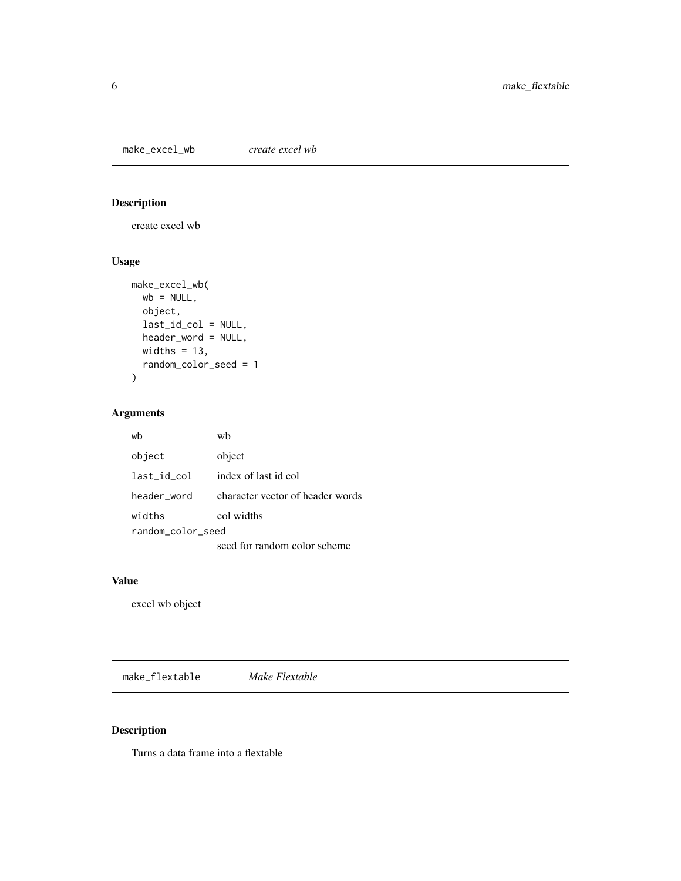<span id="page-5-0"></span>make\_excel\_wb *create excel wb*

#### Description

create excel wb

#### Usage

```
make_excel_wb(
 wb = NULL,object,
 last_id_col = NULL,
 header_word = NULL,
 widths = 13,
 random_color_seed = 1
)
```
#### Arguments

| wb                | wh                               |  |
|-------------------|----------------------------------|--|
| object            | object                           |  |
| last id col       | index of last id col             |  |
| header word       | character vector of header words |  |
| widths            | col widths                       |  |
| random color seed |                                  |  |
|                   | seed for random color scheme     |  |

#### Value

excel wb object

<span id="page-5-1"></span>make\_flextable *Make Flextable*

#### Description

Turns a data frame into a flextable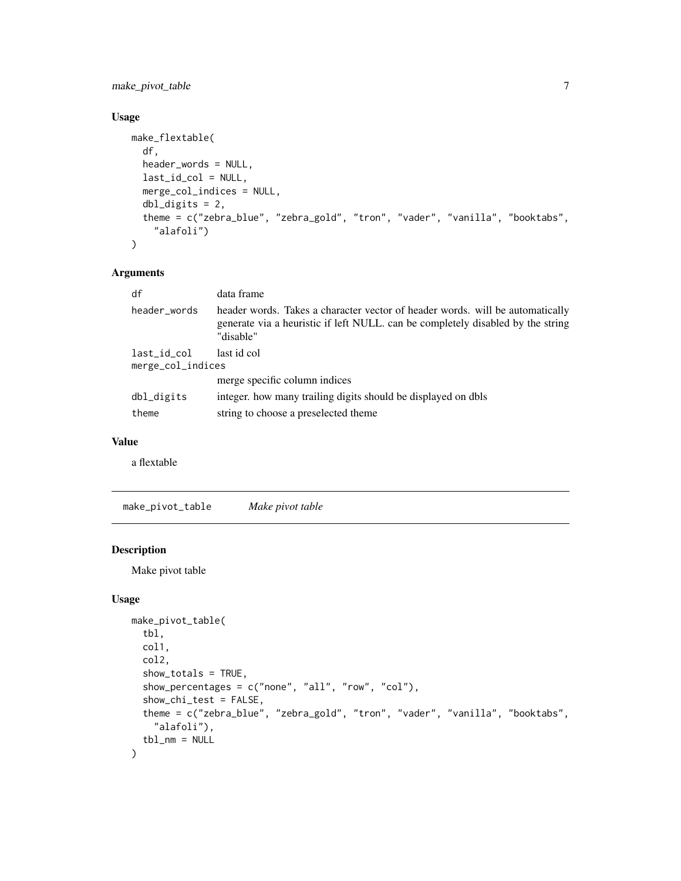<span id="page-6-0"></span>make\_pivot\_table 7

#### Usage

```
make_flextable(
 df,
  header_words = NULL,
  last_id_col = NULL,
 merge_col_indices = NULL,
 db1\_digits = 2,theme = c("zebra_blue", "zebra_gold", "tron", "vader", "vanilla", "booktabs",
    "alafoli")
\mathcal{L}
```
#### Arguments

| df                               | data frame                                                                                                                                                                    |
|----------------------------------|-------------------------------------------------------------------------------------------------------------------------------------------------------------------------------|
| header_words                     | header words. Takes a character vector of header words, will be automatically<br>generate via a heuristic if left NULL. can be completely disabled by the string<br>"disable" |
| last_id_col<br>merge_col_indices | last id col                                                                                                                                                                   |
|                                  | merge specific column indices                                                                                                                                                 |
| dbl_digits                       | integer, how many trailing digits should be displayed on dbls                                                                                                                 |
| theme                            | string to choose a preselected theme.                                                                                                                                         |

#### Value

a flextable

make\_pivot\_table *Make pivot table*

#### Description

Make pivot table

#### Usage

```
make_pivot_table(
  tbl,
  col1,
  col2,
  show_totals = TRUE,
  show_percentages = c("none", "all", "row", "col"),show_chi_test = FALSE,
  theme = c("zebra_blue", "zebra_gold", "tron", "vader", "vanilla", "booktabs",
    "alafoli"),
  tb1<sub>-</sub>nm = NULL\mathcal{L}
```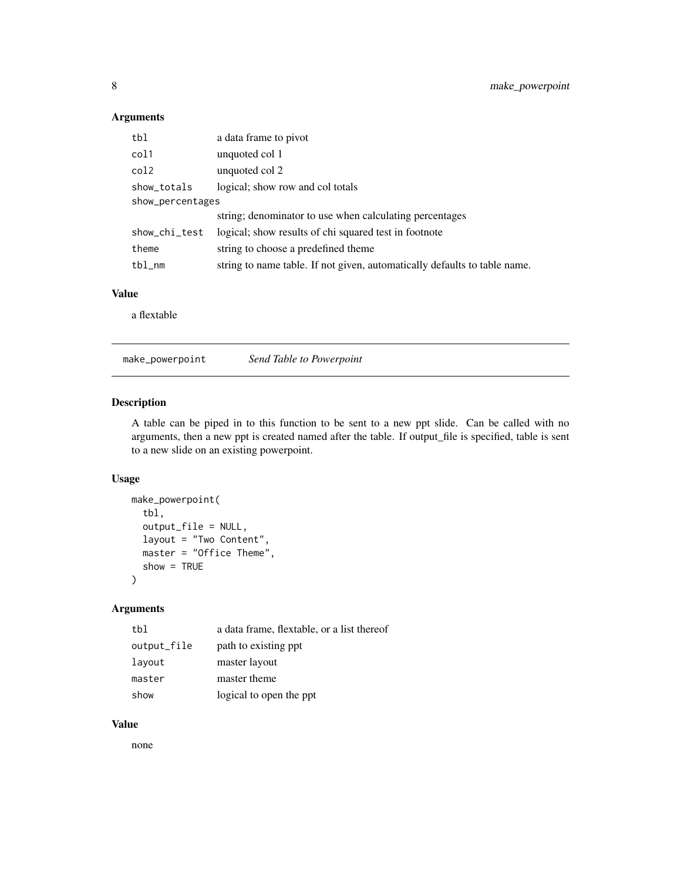#### <span id="page-7-0"></span>Arguments

| tbl              | a data frame to pivot                                                     |
|------------------|---------------------------------------------------------------------------|
| col1             | unquoted col 1                                                            |
| col2             | unquoted col 2                                                            |
| show_totals      | logical; show row and col totals                                          |
| show_percentages |                                                                           |
|                  | string; denominator to use when calculating percentages                   |
| show_chi_test    | logical; show results of chi squared test in footnote                     |
| theme            | string to choose a predefined theme                                       |
| $tb1$ _nm        | string to name table. If not given, automatically defaults to table name. |

#### Value

a flextable

make\_powerpoint *Send Table to Powerpoint*

#### Description

A table can be piped in to this function to be sent to a new ppt slide. Can be called with no arguments, then a new ppt is created named after the table. If output\_file is specified, table is sent to a new slide on an existing powerpoint.

#### Usage

```
make_powerpoint(
  tbl,
  output_file = NULL,
  layout = "Two Content",
  master = "Office Theme",
  show = TRUE
\mathcal{L}
```
#### Arguments

| tbl         | a data frame, flextable, or a list thereof |
|-------------|--------------------------------------------|
| output_file | path to existing ppt.                      |
| layout      | master layout                              |
| master      | master theme                               |
| show        | logical to open the ppt                    |

#### Value

none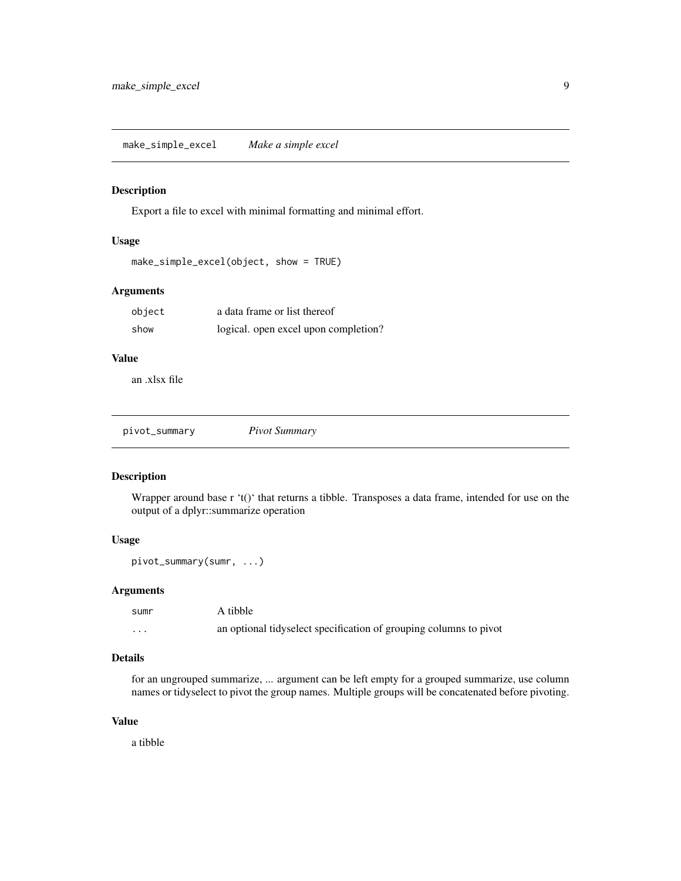<span id="page-8-0"></span>make\_simple\_excel *Make a simple excel*

#### Description

Export a file to excel with minimal formatting and minimal effort.

#### Usage

```
make_simple_excel(object, show = TRUE)
```
#### Arguments

| object | a data frame or list thereof         |
|--------|--------------------------------------|
| show   | logical. open excel upon completion? |

#### Value

an .xlsx file

pivot\_summary *Pivot Summary*

#### Description

Wrapper around base r 't()' that returns a tibble. Transposes a data frame, intended for use on the output of a dplyr::summarize operation

#### Usage

pivot\_summary(sumr, ...)

#### Arguments

| sumr | A tibble                                                          |
|------|-------------------------------------------------------------------|
| .    | an optional tidyselect specification of grouping columns to pivot |

#### Details

for an ungrouped summarize, ... argument can be left empty for a grouped summarize, use column names or tidyselect to pivot the group names. Multiple groups will be concatenated before pivoting.

#### Value

a tibble